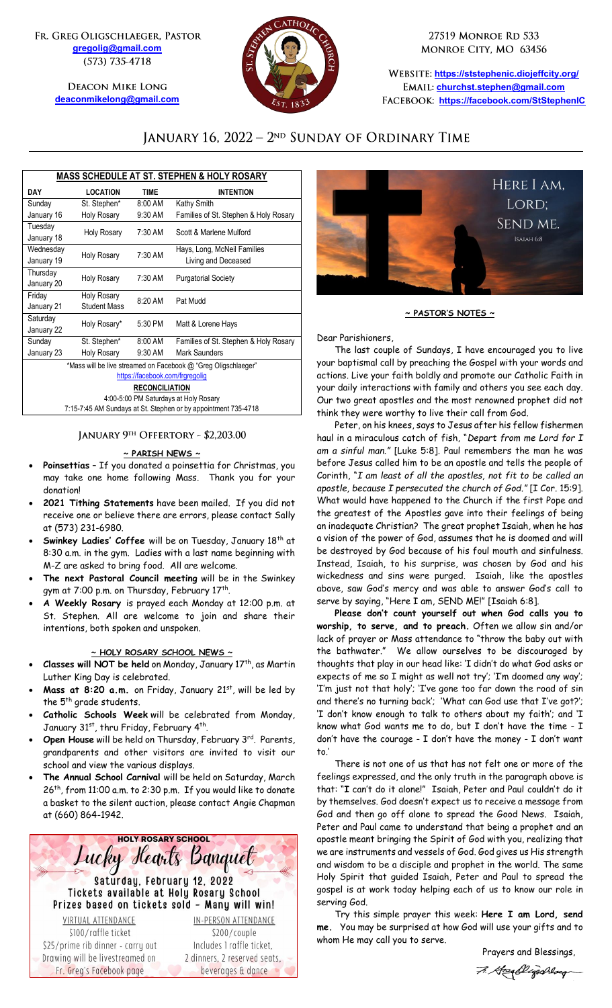FR. GREG OLIGSCHLAEGER, PASTOR **[gregolig@gmail.com](mailto:gregolig@gmail.com)** (573) 735-4718

> **DEACON MIKE LONG [deaconmikelong@gmail.com](mailto:deaconmikelong@gmail.com)**



27519 MONROE RD 533 MONROE CITY, MO 63456

**<https://ststephenic.diojeffcity.org/> [churchst.stephen@gmail.com](mailto:churchst.stephen@gmail.com) <https://facebook.com/StStephenIC>**

## JANUARY 16, 2022 - 2<sup>ND</sup> SUNDAY OF ORDINARY TIME

| <b>MASS SCHEDULE AT ST. STEPHEN &amp; HOLY ROSARY</b>          |                               |             |                                       |  |
|----------------------------------------------------------------|-------------------------------|-------------|---------------------------------------|--|
| <b>DAY</b>                                                     | <b>LOCATION</b>               | <b>TIME</b> | <b>INTENTION</b>                      |  |
| Sunday                                                         | St. Stephen*                  | 8:00 AM     | Kathy Smith                           |  |
| January 16                                                     | <b>Holy Rosary</b>            | 9:30 AM     | Families of St. Stephen & Holy Rosary |  |
| Tuesday                                                        | <b>Holy Rosary</b>            | 7:30 AM     | Scott & Marlene Mulford               |  |
| January 18                                                     |                               |             |                                       |  |
| Wednesdav                                                      | <b>Holy Rosary</b>            | 7:30 AM     | Hays, Long, McNeil Families           |  |
| January 19                                                     |                               |             | Living and Deceased                   |  |
| Thursday                                                       | <b>Holy Rosary</b>            | 7:30 AM     | <b>Purgatorial Society</b>            |  |
| January 20                                                     |                               |             |                                       |  |
| Friday                                                         | <b>Holy Rosary</b><br>8:20 AM |             | Pat Mudd                              |  |
| January 21                                                     | <b>Student Mass</b>           |             |                                       |  |
| Saturday                                                       | Holy Rosary*                  | 5:30 PM     | Matt & Lorene Hays                    |  |
| January 22                                                     |                               |             |                                       |  |
| Sunday                                                         | St. Stephen*                  | 8:00 AM     | Families of St. Stephen & Holy Rosary |  |
| January 23                                                     | Holy Rosary                   | $9:30$ AM   | Mark Saunders                         |  |
| *Mass will be live streamed on Facebook @ "Greg Oligschlaeger" |                               |             |                                       |  |
| https://facebook.com/frgregolig                                |                               |             |                                       |  |
| <b>RECONCILIATION</b>                                          |                               |             |                                       |  |
| 4:00-5:00 PM Saturdays at Holy Rosary                          |                               |             |                                       |  |
| 7:15-7:45 AM Sundays at St. Stephen or by appointment 735-4718 |                               |             |                                       |  |

### JANUARY 9TH OFFERTORY - \$2,203.00

### **~ PARISH NEWS ~**

- **Poinsettias** If you donated a poinsettia for Christmas, you may take one home following Mass. Thank you for your donation!
- **2021 Tithing Statements** have been mailed. If you did not receive one or believe there are errors, please contact Sally at (573) 231-6980.
- **Swinkey Ladies' Coffee** will be on Tuesday, January 18th at 8:30 a.m. in the gym. Ladies with a last name beginning with M-Z are asked to bring food. All are welcome.
- **The next Pastoral Council meeting** will be in the Swinkey gym at 7:00 p.m. on Thursday, February 17<sup>th</sup>.
- **A Weekly Rosary** is prayed each Monday at 12:00 p.m. at St. Stephen. All are welcome to join and share their intentions, both spoken and unspoken.

### **~ HOLY ROSARY SCHOOL NEWS ~**

- Classes will NOT be held on Monday, January 17<sup>th</sup>, as Martin Luther King Day is celebrated.
- Mass at 8:20 a.m. on Friday, January 21st, will be led by the 5<sup>th</sup> grade students.
- **Catholic Schools Week** will be celebrated from Monday, January 31st, thru Friday, February 4th.
- **Open House** will be held on Thursday, February 3<sup>rd</sup>. Parents, grandparents and other visitors are invited to visit our school and view the various displays.
- **The Annual School Carnival** will be held on Saturday, March 26th, from 11:00 a.m. to 2:30 p.m. If you would like to donate a basket to the silent auction, please contact Angie Chapman at (660) 864-1942.





**~ PASTOR'S NOTES ~**

Dear Parishioners,

The last couple of Sundays, I have encouraged you to live your baptismal call by preaching the Gospel with your words and actions. Live your faith boldly and promote our Catholic Faith in your daily interactions with family and others you see each day. Our two great apostles and the most renowned prophet did not think they were worthy to live their call from God.

Peter, on his knees, says to Jesus after his fellow fishermen haul in a miraculous catch of fish, "*Depart from me Lord for I am a sinful man."* [Luke 5:8]. Paul remembers the man he was before Jesus called him to be an apostle and tells the people of Corinth, "*I am least of all the apostles, not fit to be called an apostle, because I persecuted the church of God."* [I Cor. 15:9]. What would have happened to the Church if the first Pope and the greatest of the Apostles gave into their feelings of being an inadequate Christian? The great prophet Isaiah, when he has a vision of the power of God, assumes that he is doomed and will be destroyed by God because of his foul mouth and sinfulness. Instead, Isaiah, to his surprise, was chosen by God and his wickedness and sins were purged. Isaiah, like the apostles above, saw God's mercy and was able to answer God's call to serve by saying, "Here I am, SEND ME!" [Isaiah 6:8].

**Please don't count yourself out when God calls you to worship, to serve, and to preach.** Often we allow sin and/or lack of prayer or Mass attendance to "throw the baby out with the bathwater." We allow ourselves to be discouraged by thoughts that play in our head like: 'I didn't do what God asks or expects of me so I might as well not try'; 'I'm doomed any way'; 'I'm just not that holy'; 'I've gone too far down the road of sin and there's no turning back'; 'What can God use that I've got?'; 'I don't know enough to talk to others about my faith'; and 'I know what God wants me to do, but I don't have the time - I don't have the courage - I don't have the money - I don't want to.'

There is not one of us that has not felt one or more of the feelings expressed, and the only truth in the paragraph above is that: "**I** can't do it alone!" Isaiah, Peter and Paul couldn't do it by themselves. God doesn't expect us to receive a message from God and then go off alone to spread the Good News. Isaiah, Peter and Paul came to understand that being a prophet and an apostle meant bringing the Spirit of God with you, realizing that we are instruments and vessels of God. God gives us His strength and wisdom to be a disciple and prophet in the world. The same Holy Spirit that guided Isaiah, Peter and Paul to spread the gospel is at work today helping each of us to know our role in serving God.

Try this simple prayer this week: **Here I am Lord, send me.** You may be surprised at how God will use your gifts and to whom He may call you to serve.

 Prayers and Blessings, 7. Greenbligschlaug